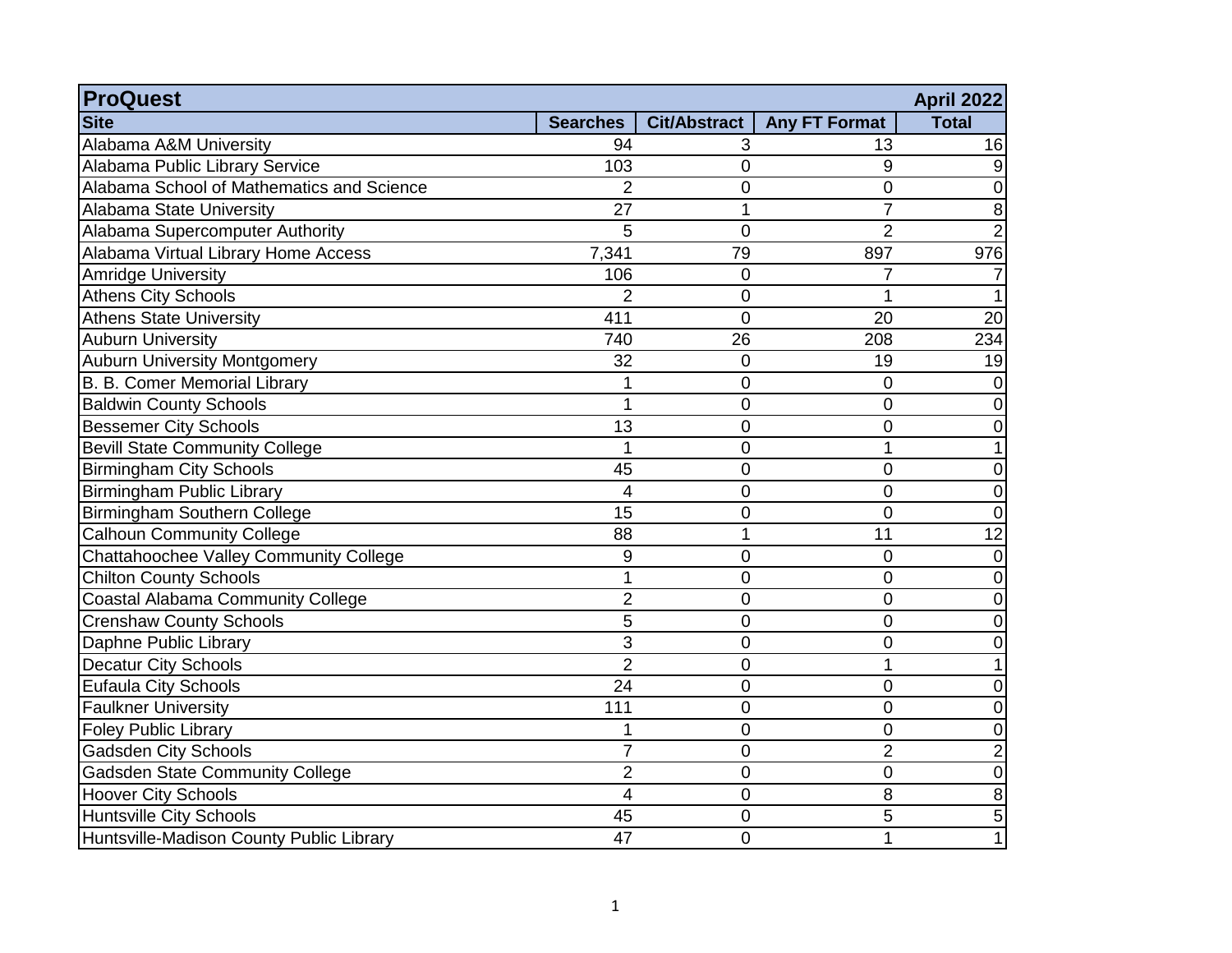| <b>ProQuest</b>                           |                 |                     |                      | <b>April 2022</b> |
|-------------------------------------------|-----------------|---------------------|----------------------|-------------------|
| <b>Site</b>                               | <b>Searches</b> | <b>Cit/Abstract</b> | <b>Any FT Format</b> | <b>Total</b>      |
| Alabama A&M University                    | 94              | 3                   | 13                   | 16                |
| Alabama Public Library Service            | 103             | 0                   | 9                    | 9                 |
| Alabama School of Mathematics and Science | $\overline{2}$  | 0                   | 0                    | 0                 |
| Alabama State University                  | 27              | 1                   | 7                    | 8                 |
| Alabama Supercomputer Authority           | 5               | $\overline{0}$      | $\overline{2}$       | 2                 |
| Alabama Virtual Library Home Access       | 7,341           | 79                  | 897                  | 976               |
| Amridge University                        | 106             | 0                   | $\overline{7}$       |                   |
| Athens City Schools                       | $\overline{2}$  | 0                   | 1                    |                   |
| <b>Athens State University</b>            | 411             | $\overline{0}$      | 20                   | 20                |
| <b>Auburn University</b>                  | 740             | 26                  | 208                  | 234               |
| <b>Auburn University Montgomery</b>       | 32              | $\mathbf 0$         | 19                   | 19                |
| B. B. Comer Memorial Library              | 1               | 0                   | 0                    | 0                 |
| <b>Baldwin County Schools</b>             | 1               | 0                   | 0                    | 0                 |
| <b>Bessemer City Schools</b>              | 13              | 0                   | 0                    | 0                 |
| <b>Bevill State Community College</b>     | 1               | 0                   | 1                    |                   |
| <b>Birmingham City Schools</b>            | 45              | $\overline{0}$      | 0                    | 0                 |
| Birmingham Public Library                 | 4               | $\overline{0}$      | $\overline{0}$       | 0                 |
| Birmingham Southern College               | 15              | 0                   | $\overline{0}$       | $\overline{0}$    |
| <b>Calhoun Community College</b>          | 88              | 1                   | 11                   | 12                |
| Chattahoochee Valley Community College    | 9               | 0                   | 0                    | 0                 |
| <b>Chilton County Schools</b>             | 1               | 0                   | 0                    | 0                 |
| Coastal Alabama Community College         | $\overline{2}$  | 0                   | 0                    | 0                 |
| <b>Crenshaw County Schools</b>            | 5               | 0                   | 0                    | 0                 |
| Daphne Public Library                     | 3               | 0                   | 0                    | 0                 |
| <b>Decatur City Schools</b>               | $\overline{2}$  | 0                   | 1                    |                   |
| <b>Eufaula City Schools</b>               | 24              | 0                   | 0                    | 0                 |
| <b>Faulkner University</b>                | 111             | 0                   | 0                    | 0                 |
| <b>Foley Public Library</b>               | 1               | 0                   | 0                    | 0                 |
| <b>Gadsden City Schools</b>               | 7               | 0                   | $\overline{2}$       | 2                 |
| <b>Gadsden State Community College</b>    | $\overline{2}$  | 0                   | 0                    | $\mathbf 0$       |
| Hoover City Schools                       | 4               | 0                   | 8                    | 8                 |
| Huntsville City Schools                   | 45              | 0                   | 5                    | 5                 |
| Huntsville-Madison County Public Library  | 47              | 0                   | 1                    | 1                 |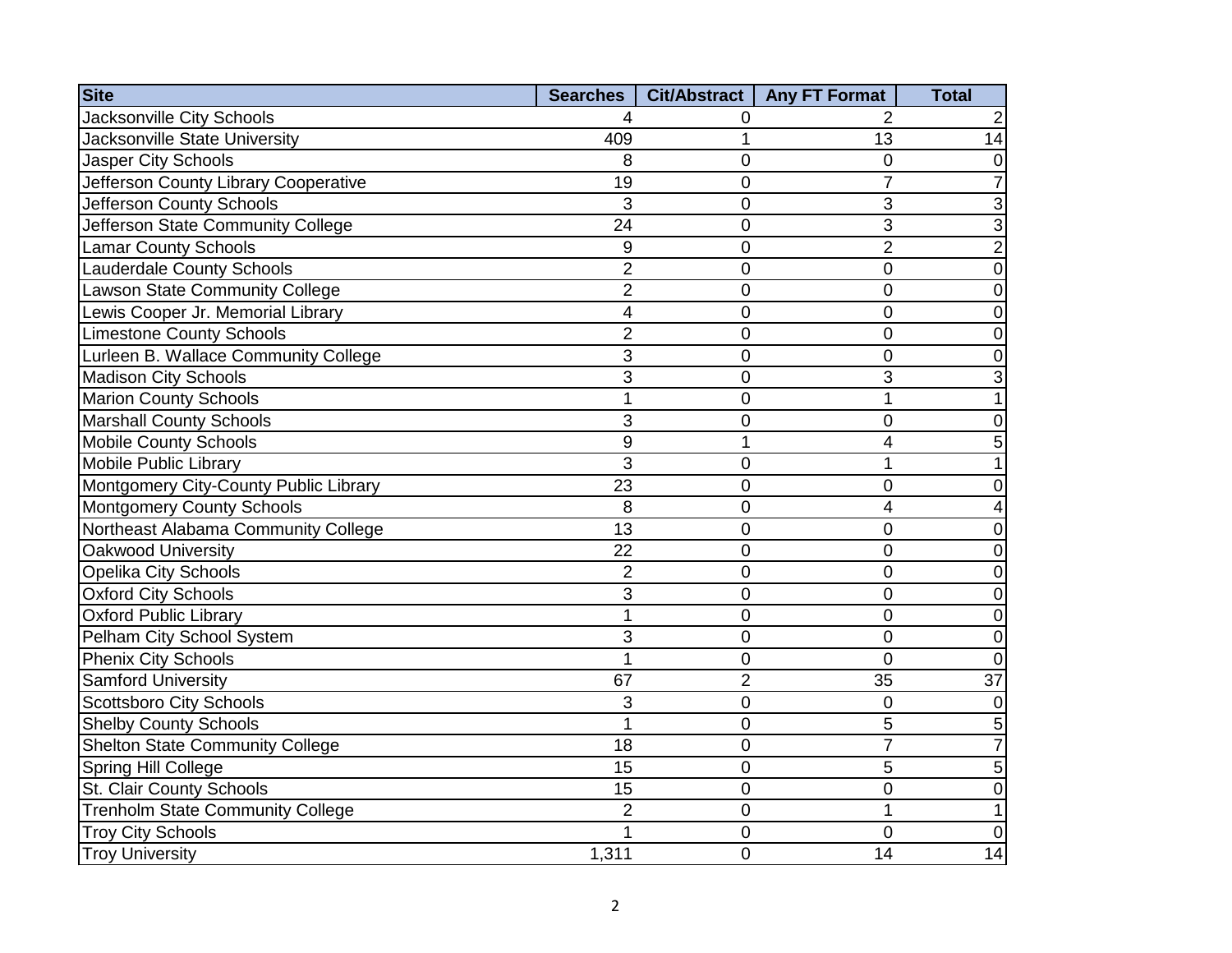| <b>Site</b>                             | Searches         | Cit/Abstract   | <b>Any FT Format</b> | <b>Total</b>    |
|-----------------------------------------|------------------|----------------|----------------------|-----------------|
| <b>Jacksonville City Schools</b>        |                  | 0              | 2                    |                 |
| Jacksonville State University           | 409              | 1              | 13                   | 14              |
| <b>Jasper City Schools</b>              | 8                | 0              | 0                    | 0               |
| Jefferson County Library Cooperative    | 19               | 0              | 7                    | 7               |
| Jefferson County Schools                | 3                | $\overline{0}$ | 3                    | 3               |
| Jefferson State Community College       | 24               | $\overline{0}$ | 3                    | 3               |
| <b>Lamar County Schools</b>             | 9                | $\overline{0}$ | $\overline{2}$       | $\overline{2}$  |
| Lauderdale County Schools               | $\overline{2}$   | $\overline{0}$ | 0                    | 0               |
| <b>Lawson State Community College</b>   | $\overline{2}$   | $\overline{0}$ | 0                    | 0               |
| Lewis Cooper Jr. Memorial Library       | 4                | $\overline{0}$ | 0                    | 0               |
| <b>Limestone County Schools</b>         | $\overline{2}$   | $\overline{0}$ | 0                    | 0               |
| Lurleen B. Wallace Community College    | 3                | 0              | 0                    | 0               |
| <b>Madison City Schools</b>             | 3                | $\overline{0}$ | 3                    |                 |
| <b>Marion County Schools</b>            | 1                | 0              | 1                    |                 |
| <b>Marshall County Schools</b>          | 3                | 0              | 0                    | 0               |
| <b>Mobile County Schools</b>            | $\boldsymbol{9}$ | 1              | 4                    | 5               |
| Mobile Public Library                   | 3                | 0              | 1                    |                 |
| Montgomery City-County Public Library   | 23               | $\overline{0}$ | 0                    | 0               |
| Montgomery County Schools               | 8                | $\overline{0}$ | 4                    | 4               |
| Northeast Alabama Community College     | 13               | $\overline{0}$ | 0                    | 0               |
| Oakwood University                      | 22               | $\overline{0}$ | 0                    | 0               |
| <b>Opelika City Schools</b>             | $\overline{2}$   | $\overline{0}$ | $\overline{0}$       | 0               |
| <b>Oxford City Schools</b>              | 3                | 0              | 0                    | 0               |
| <b>Oxford Public Library</b>            | $\overline{1}$   | $\overline{0}$ | $\overline{0}$       | 0               |
| Pelham City School System               | 3                | 0              | 0                    | $\pmb{0}$       |
| <b>Phenix City Schools</b>              | 1                | 0              | 0                    | $\mathbf 0$     |
| <b>Samford University</b>               | 67               | $\overline{2}$ | 35                   | $\overline{37}$ |
| <b>Scottsboro City Schools</b>          | 3                | 0              | $\overline{0}$       | 0               |
| <b>Shelby County Schools</b>            | 1                | 0              | 5                    | 5               |
| <b>Shelton State Community College</b>  | 18               | 0              | 7                    | $\overline{7}$  |
| Spring Hill College                     | 15               | 0              | 5                    | 5               |
| St. Clair County Schools                | 15               | 0              | 0                    | 0               |
| <b>Trenholm State Community College</b> | $\overline{2}$   | 0              | 1                    |                 |
| <b>Troy City Schools</b>                |                  | $\overline{0}$ | 0                    | 0               |
| <b>Troy University</b>                  | 1,311            | $\overline{0}$ | 14                   | 14              |